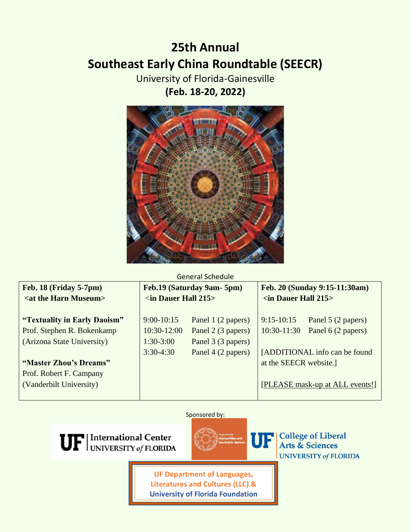# **25th Annual Southeast Early China Roundtable (SEECR)**

University of Florida-Gainesville **(Feb. 18-20, 2022)**



### General Schedule

| <b>Feb. 18 (Friday 5-7pm)</b>      | Feb.19 (Saturday 9am- 5pm) |                    | Feb. 20 (Sunday 9:15-11:30am)  |                                 |
|------------------------------------|----------------------------|--------------------|--------------------------------|---------------------------------|
| <at harn="" museum="" the=""></at> | $\sin$ Dauer Hall 215>     |                    | $\sin$ Dauer Hall 215>         |                                 |
|                                    |                            |                    |                                |                                 |
| "Textuality in Early Daoism"       | $9:00-10:15$               | Panel 1 (2 papers) | $9:15-10:15$                   | Panel 5 (2 papers)              |
| Prof. Stephen R. Bokenkamp         | 10:30-12:00                | Panel 2 (3 papers) | $10:30-11:30$                  | Panel 6 (2 papers)              |
| (Arizona State University)         | $1:30-3:00$                | Panel 3 (3 papers) |                                |                                 |
|                                    | $3:30-4:30$                | Panel 4 (2 papers) | [ADDITIONAL info can be found] |                                 |
| "Master Zhou's Dreams"             |                            |                    | at the SEECR website.          |                                 |
| Prof. Robert F. Campany            |                            |                    |                                |                                 |
| (Vanderbilt University)            |                            |                    |                                | [PLEASE mask-up at ALL events!] |
|                                    |                            |                    |                                |                                 |

### Sponsored by:





**College of Liberal** Arts & Sciences **UNIVERSITY of FLORIDA** 

**UF Department of Languages, Literatures and Cultures (LLC) & University of Florida Foundation**

l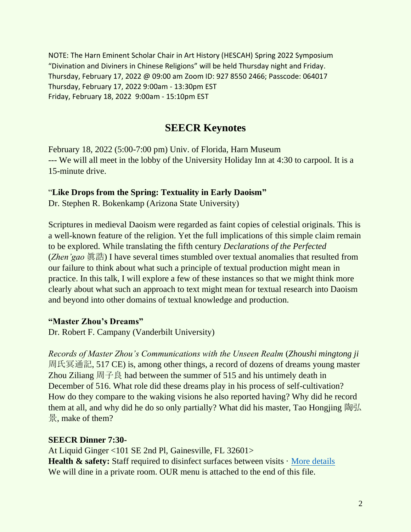NOTE: The Harn Eminent Scholar Chair in Art History (HESCAH) Spring 2022 Symposium "Divination and Diviners in Chinese Religions" will be held Thursday night and Friday. Thursday, February 17, 2022 @ 09:00 am Zoom ID: 927 8550 2466; Passcode: 064017 Thursday, February 17, 2022 9:00am - 13:30pm EST Friday, February 18, 2022 9:00am - 15:10pm EST

# **SEECR Keynotes**

February 18, 2022 (5:00-7:00 pm) Univ. of Florida, Harn Museum --- We will all meet in the lobby of the University Holiday Inn at 4:30 to carpool. It is a 15-minute drive.

### "**Like Drops from the Spring: Textuality in Early Daoism"**

Dr. Stephen R. Bokenkamp (Arizona State University)

Scriptures in medieval Daoism were regarded as faint copies of celestial originals. This is a well-known feature of the religion. Yet the full implications of this simple claim remain to be explored. While translating the fifth century *Declarations of the Perfected* (*Zhen'gao* 眞誥) I have several times stumbled over textual anomalies that resulted from our failure to think about what such a principle of textual production might mean in practice. In this talk, I will explore a few of these instances so that we might think more clearly about what such an approach to text might mean for textual research into Daoism and beyond into other domains of textual knowledge and production.

### **"Master Zhou's Dreams"**

Dr. Robert F. Campany (Vanderbilt University)

*Records of Master Zhou's Communications with the Unseen Realm* (*Zhoushi mingtong ji* 周氏冥通記, 517 CE) is, among other things, a record of dozens of dreams young master Zhou Ziliang 周子良 had between the summer of 515 and his untimely death in December of 516. What role did these dreams play in his process of self-cultivation? How do they compare to the waking visions he also reported having? Why did he record them at all, and why did he do so only partially? What did his master, Tao Hongjing 陶弘 景, make of them?

### **SEECR Dinner 7:30-**

At Liquid Ginger <101 SE 2nd Pl, Gainesville, FL 32601> **Health & safety:** Staff required to disinfect surfaces between visits  $\cdot$  [More details](https://www.google.com/search?q=liquid+ginger&source=hp&ei=ETz5YYj5LoLPkPIPqc-0sAE&iflsig=AHkkrS4AAAAAYflKISBAhYeGX28kkxnDLUfs__5_aQxV&ved=0ahUKEwjIxdim1N71AhWCJ0QIHaknDRYQ4dUDCA0&uact=5&oq=liquid+ginger&gs_lcp=Cgdnd3Mtd2l6EAMyEQguEIAEELEDEIMBEMcBEK8BMgUIABCABDIFCAAQgAQyBQgAEIAEMgUIABCABDIFCAAQgAQyBQgAEIAEMgUIABCABDIFCAAQgAQyBQgAEIAEOg4ILhCABBCxAxDHARCjAjoICAAQsQMQgwE6EQguEIAEELEDEIMBEMcBENEDOgsILhCABBCxAxCDAToLCC4QgAQQxwEQowI6CAguELEDEIMBOgsILhCABBDHARCvAToECAAQQzoQCC4QsQMQgwEQxwEQ0QMQQzoLCC4QgAQQxwEQ0QM6CwgAEIAEELEDEIMBOhEILhCABBCxAxCDARDHARCjAjoHCAAQsQMQQzoFCAAQkQI6CwguEMcBEK8BEJECOgsIABCABBCxAxDJAzoFCAAQkgM6CAgAEIAEELEDOggILhCABBCxA1AAWIQVYJoaaABwAHgAgAGAAYgBwwqSAQM3LjaYAQCgAQE&sclient=gws-wiz) We will dine in a private room. OUR menu is attached to the end of this file.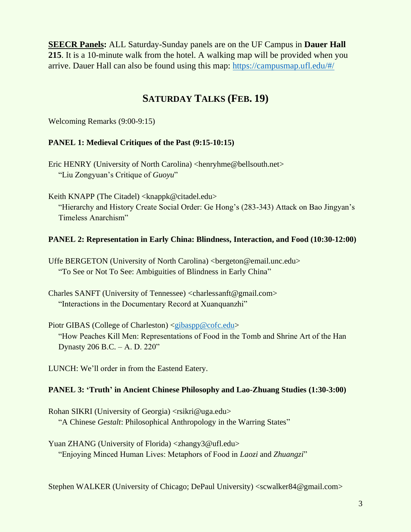**SEECR Panels:** ALL Saturday-Sunday panels are on the UF Campus in **Dauer Hall 215**. It is a 10-minute walk from the hotel. A walking map will be provided when you arrive. Dauer Hall can also be found using this map:<https://campusmap.ufl.edu/#/>

# **SATURDAY TALKS (FEB. 19)**

Welcoming Remarks (9:00-9:15)

### **PANEL 1: Medieval Critiques of the Past (9:15-10:15)**

Eric HENRY (University of North Carolina) <henryhme@bellsouth.net> "Liu Zongyuan's Critique of *Guoyu*"

Keith KNAPP (The Citadel) <knappk@citadel.edu> "Hierarchy and History Create Social Order: Ge Hong's (283-343) Attack on Bao Jingyan's Timeless Anarchism"

### **PANEL 2: Representation in Early China: Blindness, Interaction, and Food (10:30-12:00)**

Uffe BERGETON (University of North Carolina) <br/>bergeton@email.unc.edu> "To See or Not To See: Ambiguities of Blindness in Early China"

Charles SANFT (University of Tennessee) <charlessanft@gmail.com> "Interactions in the Documentary Record at Xuanquanzhi"

Piotr GIBAS (College of Charleston) [<gibaspp@cofc.edu>](mailto:gibaspp@cofc.edu) "How Peaches Kill Men: Representations of Food in the Tomb and Shrine Art of the Han Dynasty 206 B.C. – A. D. 220"

LUNCH: We'll order in from the Eastend Eatery.

### **PANEL 3: 'Truth' in Ancient Chinese Philosophy and Lao-Zhuang Studies (1:30-3:00)**

Rohan SIKRI (University of Georgia) <rsikri@uga.edu> "A Chinese *Gestalt*: Philosophical Anthropology in the Warring States"

Yuan ZHANG (University of Florida) <zhangy3@ufl.edu> "Enjoying Minced Human Lives: Metaphors of Food in *Laozi* and *Zhuangzi*"

Stephen WALKER (University of Chicago; DePaul University) <scwalker84@gmail.com>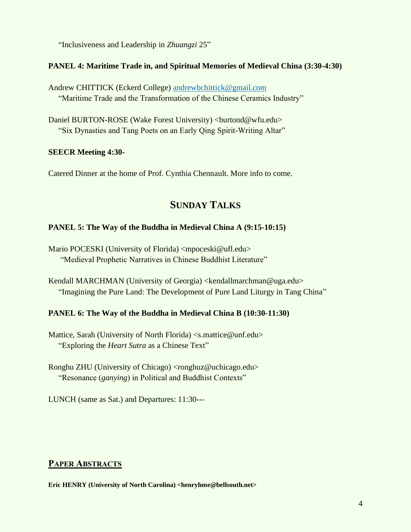"Inclusiveness and Leadership in *Zhuangzi* 25"

### **PANEL 4: Maritime Trade in, and Spiritual Memories of Medieval China (3:30-4:30)**

Andrew CHITTICK (Eckerd College) [andrewbchittick@gmail.com](mailto:andrewbchittick@gmail.com) "Maritime Trade and the Transformation of the Chinese Ceramics Industry"

Daniel BURTON-ROSE (Wake Forest University) <br/>burtond@wfu.edu> "Six Dynasties and Tang Poets on an Early Qing Spirit-Writing Altar"

### **SEECR Meeting 4:30-**

Catered Dinner at the home of Prof. Cynthia Chennault. More info to come.

# **SUNDAY TALKS**

### **PANEL 5: The Way of the Buddha in Medieval China A (9:15-10:15)**

Mario POCESKI (University of Florida) <mpoceski@ufl.edu> "Medieval Prophetic Narratives in Chinese Buddhist Literature"

Kendall MARCHMAN (University of Georgia) <kendallmarchman@uga.edu> "Imagining the Pure Land: The Development of Pure Land Liturgy in Tang China"

### **PANEL 6: The Way of the Buddha in Medieval China B (10:30-11:30)**

Mattice, Sarah (University of North Florida) [<s.mattice@unf.edu>](mailto:s.mattice@unf.edu) "Exploring the *Heart Sutra* as a Chinese Text"

Ronghu ZHU (University of Chicago) <ronghuz@uchicago.edu> "Resonance (*ganying*) in Political and Buddhist Contexts"

LUNCH (same as Sat.) and Departures: 11:30---

### **PAPER ABSTRACTS**

**Eric HENRY (University of North Carolina) <henryhme@bellsouth.net>**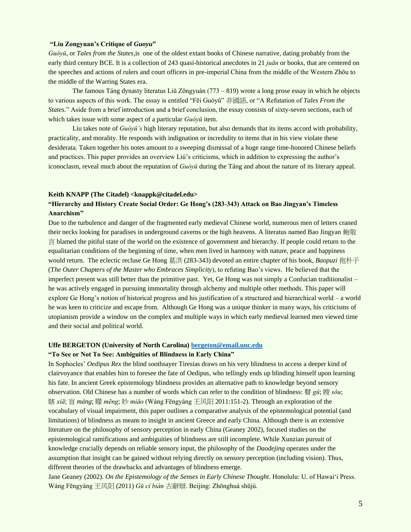#### **"Liu Zongyuan's Critique of** *Guoyu***"**

*Guóyǔ*, or *Tales from the States,*is one of the oldest extant books of Chinese narrative, dating probably from the early third century BCE. It is a collection of 243 quasi-historical anecdotes in 21 *juān* or books, that are centered on the speeches and actions of rulers and court officers in pre-imperial China from the middle of the Western Zhōu to the middle of the Warring States era.

The famous Táng dynasty literatus Liǔ Zōngyuán (773 – 819) wrote a long prose essay in which he objects to various aspects of this work. The essay is entitled "Fēi Guóyǔ" 非國語, or "A Refutation of *Tales From the States.*" Aside from a brief introduction and a brief conclusion, the essay consists of sixty-seven sections, each of which takes issue with some aspect of a particular *Guóyǔ* item.

Liu takes note of *Guóyǔ's* high literary reputation, but also demands that its items accord with probability, practicality, and morality. He responds with indignation or incredulity to items that in his view violate these desiderata. Taken together his notes amount to a sweeping dismissal of a huge range time-honored Chinese beliefs and practices. This paper provides an overview Liú's criticisms, which in addition to expressing the author's iconoclasm, reveal much about the reputation of *Guóyǔ* during the Táng and about the nature of its literary appeal.

#### **Keith KNAPP (The Citadel) <knappk@citadel.edu>**

#### **"Hierarchy and History Create Social Order: Ge Hong's (283-343) Attack on Bao Jingyan's Timeless Anarchism"**

Due to the turbulence and danger of the fragmented early medieval Chinese world, numerous men of letters craned their necks looking for paradises in underground caverns or the high heavens. A literatus named Bao Jingyan 鲍敬  $\equiv$  blamed the pitiful state of the world on the existence of government and hierarchy. If people could return to the equalitarian conditions of the beginning of time, when men lived in harmony with nature, peace and happiness would return. The eclectic recluse Ge Hong 葛洪 (283-343) devoted an entire chapter of his book, *Baopuzi* 抱朴子 (T*he Outer Chapters of the Master who Embraces Simplicity*), to refuting Bao's views. He believed that the imperfect present was still better than the primitive past. Yet, Ge Hong was not simply a Confucian traditionalist – he was actively engaged in pursuing immortality through alchemy and multiple other methods. This paper will explore Ge Hong's notion of historical progress and his justification of a structured and hierarchical world – a world he was keen to criticize and escape from. Although Ge Hong was a unique thinker in many ways, his criticisms of utopianism provide a window on the complex and multiple ways in which early medieval learned men viewed time and their social and political world.

#### **Uffe BERGETON (University of North Carolina) [bergeton@email.unc.edu](mailto:bergeton@email.unc.edu)**

#### **"To See or Not To See: Ambiguities of Blindness in Early China"**

In Sophocles' *Oedipus Rex* the blind soothsayer Tiresias draws on his very blindness to access a deeper kind of clairvoyance that enables him to foresee the fate of Oedipus, who tellingly ends up blinding himself upon learning his fate. In ancient Greek epistemology blindness provides an alternative path to knowledge beyond sensory observation. Old Chinese has a number of words which can refer to the condition of blindness: 瞽 *gǔ*; 瞍 *sǒu*; 瞎 *xiā*; 盲 *máng*; 矇 *mēng*; 眇 *miǎo* (Wáng Fēngyáng 王风阳 2011:151-2). Through an exploration of the vocabulary of visual impairment, this paper outlines a comparative analysis of the epistemological potential (and limitations) of blindness as means to insight in ancient Greece and early China. Although there is an extensive literature on the philosophy of sensory perception in early China (Geaney 2002), focused studies on the epistemological ramifications and ambiguities of blindness are still incomplete. While Xunzian pursuit of knowledge crucially depends on reliable sensory input, the philosophy of the *Daodejing* operates under the assumption that insight can be gained without relying directly on sensory perception (including vision). Thus, different theories of the drawbacks and advantages of blindness emerge.

Jane Geaney (2002). *On the Epistemology of the Senses in Early Chinese Thought*. Honolulu: U. of Hawai'i Press. Wáng Fēngyáng 王风阳 (2011) *Gǔ cí biàn* 古辭辯. Beijing: Zhōnghuá shūjú.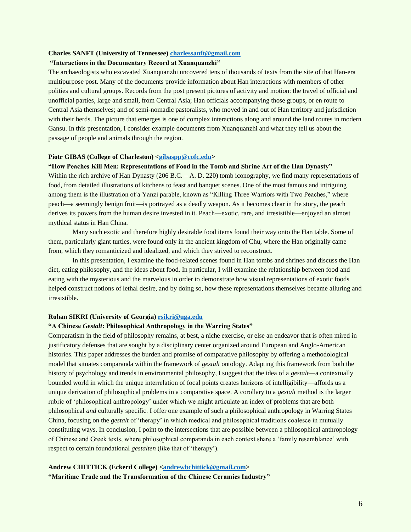#### **Charles SANFT (University of Tennessee) [charlessanft@gmail.com](mailto:charlessanft@gmail.com)**

#### **"Interactions in the Documentary Record at Xuanquanzhi"**

The archaeologists who excavated Xuanquanzhi uncovered tens of thousands of texts from the site of that Han-era multipurpose post. Many of the documents provide information about Han interactions with members of other polities and cultural groups. Records from the post present pictures of activity and motion: the travel of official and unofficial parties, large and small, from Central Asia; Han officials accompanying those groups, or en route to Central Asia themselves; and of semi-nomadic pastoralists, who moved in and out of Han territory and jurisdiction with their herds. The picture that emerges is one of complex interactions along and around the land routes in modern Gansu. In this presentation, I consider example documents from Xuanquanzhi and what they tell us about the passage of people and animals through the region.

#### **Piotr GIBAS (College of Charleston) [<gibaspp@cofc.edu>](mailto:gibaspp@cofc.edu)**

#### **"How Peaches Kill Men: Representations of Food in the Tomb and Shrine Art of the Han Dynasty"**

Within the rich archive of Han Dynasty (206 B.C. – A. D. 220) tomb iconography, we find many representations of food, from detailed illustrations of kitchens to feast and banquet scenes. One of the most famous and intriguing among them is the illustration of a Yanzi parable, known as "Killing Three Warriors with Two Peaches," where peach—a seemingly benign fruit—is portrayed as a deadly weapon. As it becomes clear in the story, the peach derives its powers from the human desire invested in it. Peach—exotic, rare, and irresistible—enjoyed an almost mythical status in Han China.

Many such exotic and therefore highly desirable food items found their way onto the Han table. Some of them, particularly giant turtles, were found only in the ancient kingdom of Chu, where the Han originally came from, which they romanticized and idealized, and which they strived to reconstruct.

In this presentation, I examine the food-related scenes found in Han tombs and shrines and discuss the Han diet, eating philosophy, and the ideas about food. In particular, I will examine the relationship between food and eating with the mysterious and the marvelous in order to demonstrate how visual representations of exotic foods helped construct notions of lethal desire, and by doing so, how these representations themselves became alluring and irresistible.

#### **Rohan SIKRI (University of Georgia) [rsikri@uga.edu](mailto:rsikri@uga.edu)**

#### **"A Chinese** *Gestalt***: Philosophical Anthropology in the Warring States"**

Comparatism in the field of philosophy remains, at best, a niche exercise, or else an endeavor that is often mired in justificatory defenses that are sought by a disciplinary center organized around European and Anglo-American histories. This paper addresses the burden and promise of comparative philosophy by offering a methodological model that situates comparanda within the framework of *gestalt* ontology. Adapting this framework from both the history of psychology and trends in environmental philosophy, I suggest that the idea of a *gestalt*—a contextually bounded world in which the unique interrelation of focal points creates horizons of intelligibility—affords us a unique derivation of philosophical problems in a comparative space. A corollary to a *gestalt* method is the larger rubric of 'philosophical anthropology' under which we might articulate an index of problems that are both philosophical *and* culturally specific. I offer one example of such a philosophical anthropology in Warring States China, focusing on the *gestalt* of 'therapy' in which medical and philosophical traditions coalesce in mutually constituting ways. In conclusion, I point to the intersections that are possible between a philosophical anthropology of Chinese and Greek texts, where philosophical comparanda in each context share a 'family resemblance' with respect to certain foundational *gestalten* (like that of 'therapy').

### **Andrew CHITTICK (Eckerd College) [<andrewbchittick@gmail.com>](mailto:andrewbchittick@gmail.com) "Maritime Trade and the Transformation of the Chinese Ceramics Industry"**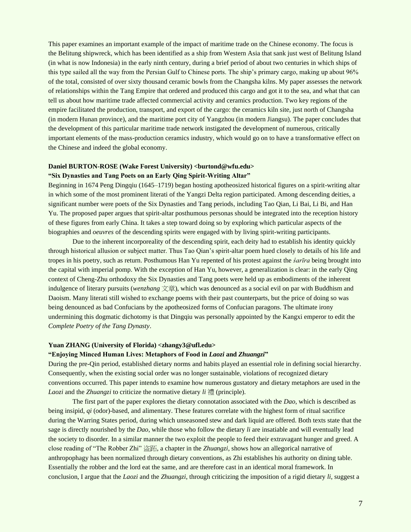This paper examines an important example of the impact of maritime trade on the Chinese economy. The focus is the Belitung shipwreck, which has been identified as a ship from Western Asia that sank just west of Belitung Island (in what is now Indonesia) in the early ninth century, during a brief period of about two centuries in which ships of this type sailed all the way from the Persian Gulf to Chinese ports. The ship's primary cargo, making up about 96% of the total, consisted of over sixty thousand ceramic bowls from the Changsha kilns. My paper assesses the network of relationships within the Tang Empire that ordered and produced this cargo and got it to the sea, and what that can tell us about how maritime trade affected commercial activity and ceramics production. Two key regions of the empire facilitated the production, transport, and export of the cargo: the ceramics kiln site, just north of Changsha (in modern Hunan province), and the maritime port city of Yangzhou (in modern Jiangsu). The paper concludes that the development of this particular maritime trade network instigated the development of numerous, critically important elements of the mass-production ceramics industry, which would go on to have a transformative effect on the Chinese and indeed the global economy.

## **Daniel BURTON-ROSE (Wake Forest University) <br/>burtond@wfu.edu>**

### **"Six Dynasties and Tang Poets on an Early Qing Spirit-Writing Altar"**

Beginning in 1674 Peng Dingqiu (1645–1719) began hosting apotheosized historical figures on a spirit-writing altar in which some of the most prominent literati of the Yangzi Delta region participated. Among descending deities, a significant number were poets of the Six Dynasties and Tang periods, including Tao Qian, Li Bai, Li Bi, and Han Yu. The proposed paper argues that spirit-altar posthumous personas should be integrated into the reception history of these figures from early China. It takes a step toward doing so by exploring which particular aspects of the biographies and *oeuvres* of the descending spirits were engaged with by living spirit-writing participants.

Due to the inherent incorporeality of the descending spirit, each deity had to establish his identity quickly through historical allusion or subject matter. Thus Tao Qian's spirit-altar poem hued closely to details of his life and tropes in his poetry, such as return. Posthumous Han Yu repented of his protest against the *śarīra* being brought into the capital with imperial pomp. With the exception of Han Yu, however, a generalization is clear: in the early Qing context of Cheng-Zhu orthodoxy the Six Dynasties and Tang poets were held up as embodiments of the inherent indulgence of literary pursuits (*wenzhang* 文章), which was denounced as a social evil on par with Buddhism and Daoism. Many literati still wished to exchange poems with their past counterparts, but the price of doing so was being denounced as bad Confucians by the apotheosized forms of Confucian paragons. The ultimate irony undermining this dogmatic dichotomy is that Dingqiu was personally appointed by the Kangxi emperor to edit the *Complete Poetry of the Tang Dynasty*.

#### **Yuan ZHANG (University of Florida) <zhangy3@ufl.edu>**

#### **"Enjoying Minced Human Lives: Metaphors of Food in** *Laozi* **and** *Zhuangzi***"**

During the pre-Qin period, established dietary norms and habits played an essential role in defining social hierarchy. Consequently, when the existing social order was no longer sustainable, violations of recognized dietary conventions occurred. This paper intends to examine how numerous gustatory and dietary metaphors are used in the *Laozi* and the *Zhuangzi* to criticize the normative dietary *li* 禮 (principle).

The first part of the paper explores the dietary connotation associated with the *Dao*, which is described as being insipid, *qi* (odor)-based, and alimentary. These features correlate with the highest form of ritual sacrifice during the Warring States period, during which unseasoned stew and dark liquid are offered. Both texts state that the sage is directly nourished by the *Dao*, while those who follow the dietary *li* are insatiable and will eventually lead the society to disorder. In a similar manner the two exploit the people to feed their extravagant hunger and greed. A close reading of "The Robber Zhi" 盗跖, a chapter in the *Zhuangzi*, shows how an allegorical narrative of anthropophagy has been normalized through dietary conventions, as Zhi establishes his authority on dining table. Essentially the robber and the lord eat the same, and are therefore cast in an identical moral framework. In conclusion, I argue that the *Laozi* and the *Zhuangzi*, through criticizing the imposition of a rigid dietary *li*, suggest a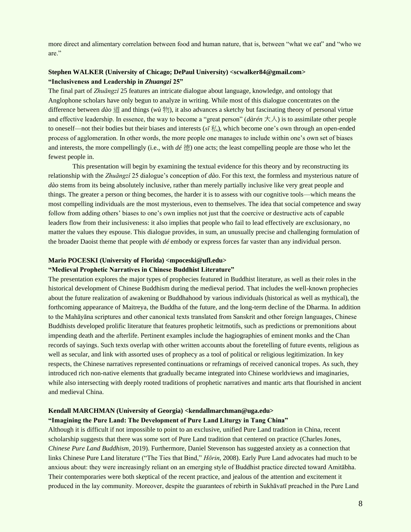more direct and alimentary correlation between food and human nature, that is, between "what we eat" and "who we are."

#### **Stephen WALKER (University of Chicago; DePaul University) <scwalker84@gmail.com> "Inclusiveness and Leadership in** *Zhuangzi* **25"**

The final part of *Zhuāngzǐ* 25 features an intricate dialogue about language, knowledge, and ontology that Anglophone scholars have only begun to analyze in writing. While most of this dialogue concentrates on the difference between *dào* 道 and things (*wù* 物), it also advances a sketchy but fascinating theory of personal virtue and effective leadership. In essence, the way to become a "great person" (*dàrén* ⼤⼈) is to assimilate other people to oneself—not their bodies but their biases and interests ( $s\bar{t}$ ), which become one's own through an open-ended process of agglomeration. In other words, the more people one manages to include within one's own set of biases and interests, the more compellingly (i.e., with *dé* 德) one acts; the least compelling people are those who let the fewest people in.

This presentation will begin by examining the textual evidence for this theory and by reconstructing its relationship with the *Zhuāngzǐ* 25 dialogue's conception of *dào*. For this text, the formless and mysterious nature of *dào* stems from its being absolutely inclusive, rather than merely partially inclusive like very great people and things. The greater a person or thing becomes, the harder it is to assess with our cognitive tools—which means the most compelling individuals are the most mysterious, even to themselves. The idea that social competence and sway follow from adding others' biases to one's own implies not just that the coercive or destructive acts of capable leaders flow from their inclusiveness: it also implies that people who fail to lead effectively are exclusionary, no matter the values they espouse. This dialogue provides, in sum, an unusually precise and challenging formulation of the broader Daoist theme that people with *dé* embody or express forces far vaster than any individual person.

#### **Mario POCESKI (University of Florida) <mpoceski@ufl.edu>**

#### **"Medieval Prophetic Narratives in Chinese Buddhist Literature"**

The presentation explores the major types of prophecies featured in Buddhist literature, as well as their roles in the historical development of Chinese Buddhism during the medieval period. That includes the well-known prophecies about the future realization of awakening or Buddhahood by various individuals (historical as well as mythical), the forthcoming appearance of Maitreya, the Buddha of the future, and the long-term decline of the Dharma. In addition to the Mahāyāna scriptures and other canonical texts translated from Sanskrit and other foreign languages, Chinese Buddhists developed prolific literature that features prophetic leitmotifs, such as predictions or premonitions about impending death and the afterlife. Pertinent examples include the hagiographies of eminent monks and the Chan records of sayings. Such texts overlap with other written accounts about the foretelling of future events, religious as well as secular, and link with assorted uses of prophecy as a tool of political or religious legitimization. In key respects, the Chinese narratives represented continuations or reframings of received canonical tropes. As such, they introduced rich non-native elements that gradually became integrated into Chinese worldviews and imaginaries, while also intersecting with deeply rooted traditions of prophetic narratives and mantic arts that flourished in ancient and medieval China.

#### **Kendall MARCHMAN (University of Georgia) <kendallmarchman@uga.edu>**

#### **"Imagining the Pure Land: The Development of Pure Land Liturgy in Tang China"**

Although it is difficult if not impossible to point to an exclusive, unified Pure Land tradition in China, recent scholarship suggests that there was some sort of Pure Land tradition that centered on practice (Charles Jones, *Chinese Pure Land Buddhism*, 2019). Furthermore, Daniel Stevenson has suggested anxiety as a connection that links Chinese Pure Land literature ("The Ties that Bind," *Hōrin*, 2008). Early Pure Land advocates had much to be anxious about: they were increasingly reliant on an emerging style of Buddhist practice directed toward Amitābha. Their contemporaries were both skeptical of the recent practice, and jealous of the attention and excitement it produced in the lay community. Moreover, despite the guarantees of rebirth in Sukhāvatī preached in the Pure Land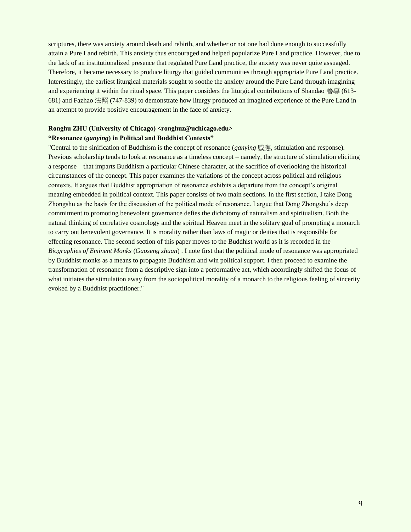scriptures, there was anxiety around death and rebirth, and whether or not one had done enough to successfully attain a Pure Land rebirth. This anxiety thus encouraged and helped popularize Pure Land practice. However, due to the lack of an institutionalized presence that regulated Pure Land practice, the anxiety was never quite assuaged. Therefore, it became necessary to produce liturgy that guided communities through appropriate Pure Land practice. Interestingly, the earliest liturgical materials sought to soothe the anxiety around the Pure Land through imagining and experiencing it within the ritual space. This paper considers the liturgical contributions of Shandao 善導 (613- 681) and Fazhao 法照 (747-839) to demonstrate how liturgy produced an imagined experience of the Pure Land in an attempt to provide positive encouragement in the face of anxiety.

#### **Ronghu ZHU (University of Chicago) <ronghuz@uchicago.edu> "Resonance (***ganying***) in Political and Buddhist Contexts"**

"Central to the sinification of Buddhism is the concept of resonance (*ganying* 感應, stimulation and response). Previous scholarship tends to look at resonance as a timeless concept – namely, the structure of stimulation eliciting a response – that imparts Buddhism a particular Chinese character, at the sacrifice of overlooking the historical circumstances of the concept. This paper examines the variations of the concept across political and religious contexts. It argues that Buddhist appropriation of resonance exhibits a departure from the concept's original meaning embedded in political context. This paper consists of two main sections. In the first section, I take Dong Zhongshu as the basis for the discussion of the political mode of resonance. I argue that Dong Zhongshu's deep commitment to promoting benevolent governance defies the dichotomy of naturalism and spiritualism. Both the natural thinking of correlative cosmology and the spiritual Heaven meet in the solitary goal of prompting a monarch to carry out benevolent governance. It is morality rather than laws of magic or deities that is responsible for effecting resonance. The second section of this paper moves to the Buddhist world as it is recorded in the *Biographies of Eminent Monks* (*Gaoseng zhuan*) . I note first that the political mode of resonance was appropriated by Buddhist monks as a means to propagate Buddhism and win political support. I then proceed to examine the transformation of resonance from a descriptive sign into a performative act, which accordingly shifted the focus of what initiates the stimulation away from the sociopolitical morality of a monarch to the religious feeling of sincerity evoked by a Buddhist practitioner."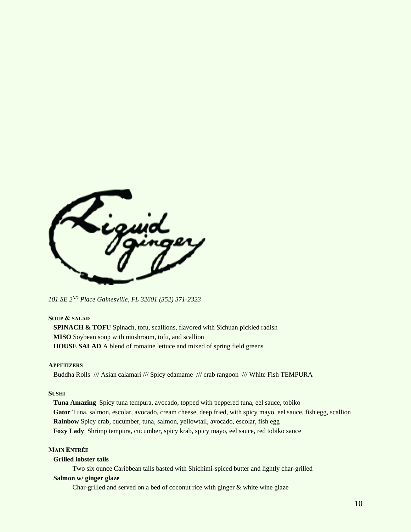

*101 SE 2ND Place Gainesville, FL 32601 (352) 371-2323*

### **SOUP & SALAD**

**SPINACH & TOFU** Spinach, tofu, scallions, flavored with Sichuan pickled radish  **MISO** Soybean soup with mushroom, tofu, and scallion **HOUSE SALAD** A blend of romaine lettuce and mixed of spring field greens

#### **APPETIZERS**

Buddha Rolls /// Asian calamari /// Spicy edamame /// crab rangoon /// White Fish TEMPURA

#### **SUSHI**

 **Tuna Amazing** Spicy tuna tempura, avocado, topped with peppered tuna, eel sauce, tobiko  **Gator** Tuna, salmon, escolar, avocado, cream cheese, deep fried, with spicy mayo, eel sauce, fish egg, scallion  **Rainbow** Spicy crab, cucumber, tuna, salmon, yellowtail, avocado, escolar, fish egg  **Foxy Lady** Shrimp tempura, cucumber, spicy krab, spicy mayo, eel sauce, red tobiko sauce

#### **MAIN ENTRÉE**

#### **Grilled lobster tails**

Two six ounce Caribbean tails basted with Shichimi-spiced butter and lightly char-grilled

#### **Salmon w/ ginger glaze**

Char-grilled and served on a bed of coconut rice with ginger & white wine glaze